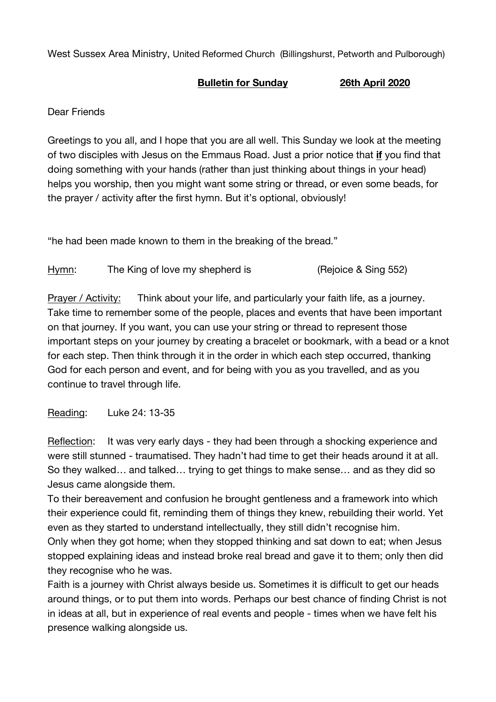West Sussex Area Ministry, United Reformed Church (Billingshurst, Petworth and Pulborough)

## **Bulletin for Sunday 26th April 2020**

Dear Friends

Greetings to you all, and I hope that you are all well. This Sunday we look at the meeting of two disciples with Jesus on the Emmaus Road. Just a prior notice that **if** you find that doing something with your hands (rather than just thinking about things in your head) helps you worship, then you might want some string or thread, or even some beads, for the prayer / activity after the first hymn. But it's optional, obviously!

"he had been made known to them in the breaking of the bread."

Hymn: The King of love my shepherd is (Rejoice & Sing 552)

Prayer / Activity: Think about your life, and particularly your faith life, as a journey. Take time to remember some of the people, places and events that have been important on that journey. If you want, you can use your string or thread to represent those important steps on your journey by creating a bracelet or bookmark, with a bead or a knot for each step. Then think through it in the order in which each step occurred, thanking God for each person and event, and for being with you as you travelled, and as you continue to travel through life.

Reading: Luke 24: 13-35

Reflection: It was very early days - they had been through a shocking experience and were still stunned - traumatised. They hadn't had time to get their heads around it at all. So they walked… and talked… trying to get things to make sense… and as they did so Jesus came alongside them.

To their bereavement and confusion he brought gentleness and a framework into which their experience could fit, reminding them of things they knew, rebuilding their world. Yet even as they started to understand intellectually, they still didn't recognise him.

Only when they got home; when they stopped thinking and sat down to eat; when Jesus stopped explaining ideas and instead broke real bread and gave it to them; only then did they recognise who he was.

Faith is a journey with Christ always beside us. Sometimes it is difficult to get our heads around things, or to put them into words. Perhaps our best chance of finding Christ is not in ideas at all, but in experience of real events and people - times when we have felt his presence walking alongside us.